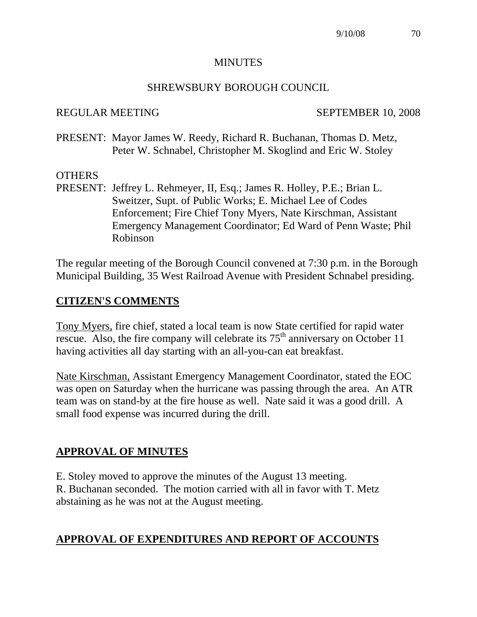#### **MINUTES**

#### SHREWSBURY BOROUGH COUNCIL

#### REGULAR MEETING SEPTEMBER 10, 2008

PRESENT: Mayor James W. Reedy, Richard R. Buchanan, Thomas D. Metz, Peter W. Schnabel, Christopher M. Skoglind and Eric W. Stoley

### **OTHERS**

PRESENT: Jeffrey L. Rehmeyer, II, Esq.; James R. Holley, P.E.; Brian L. Sweitzer, Supt. of Public Works; E. Michael Lee of Codes Enforcement; Fire Chief Tony Myers, Nate Kirschman, Assistant Emergency Management Coordinator; Ed Ward of Penn Waste; Phil Robinson

The regular meeting of the Borough Council convened at 7:30 p.m. in the Borough Municipal Building, 35 West Railroad Avenue with President Schnabel presiding.

## **CITIZEN'S COMMENTS**

Tony Myers, fire chief, stated a local team is now State certified for rapid water rescue. Also, the fire company will celebrate its  $75<sup>th</sup>$  anniversary on October 11 having activities all day starting with an all-you-can eat breakfast.

Nate Kirschman, Assistant Emergency Management Coordinator, stated the EOC was open on Saturday when the hurricane was passing through the area. An ATR team was on stand-by at the fire house as well. Nate said it was a good drill. A small food expense was incurred during the drill.

# **APPROVAL OF MINUTES**

E. Stoley moved to approve the minutes of the August 13 meeting. R. Buchanan seconded. The motion carried with all in favor with T. Metz abstaining as he was not at the August meeting.

## **APPROVAL OF EXPENDITURES AND REPORT OF ACCOUNTS**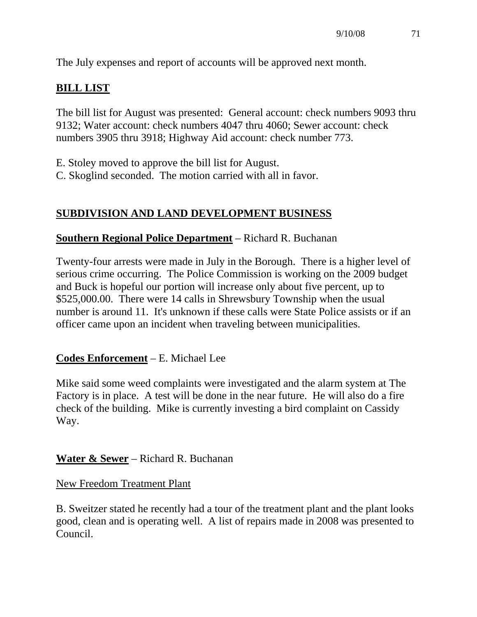The July expenses and report of accounts will be approved next month.

## **BILL LIST**

The bill list for August was presented: General account: check numbers 9093 thru 9132; Water account: check numbers 4047 thru 4060; Sewer account: check numbers 3905 thru 3918; Highway Aid account: check number 773.

- E. Stoley moved to approve the bill list for August.
- C. Skoglind seconded. The motion carried with all in favor.

### **SUBDIVISION AND LAND DEVELOPMENT BUSINESS**

#### **Southern Regional Police Department** – Richard R. Buchanan

Twenty-four arrests were made in July in the Borough. There is a higher level of serious crime occurring. The Police Commission is working on the 2009 budget and Buck is hopeful our portion will increase only about five percent, up to \$525,000.00. There were 14 calls in Shrewsbury Township when the usual number is around 11. It's unknown if these calls were State Police assists or if an officer came upon an incident when traveling between municipalities.

### **Codes Enforcement** – E. Michael Lee

Mike said some weed complaints were investigated and the alarm system at The Factory is in place. A test will be done in the near future. He will also do a fire check of the building. Mike is currently investing a bird complaint on Cassidy Way.

### **Water & Sewer** – Richard R. Buchanan

#### New Freedom Treatment Plant

B. Sweitzer stated he recently had a tour of the treatment plant and the plant looks good, clean and is operating well. A list of repairs made in 2008 was presented to Council.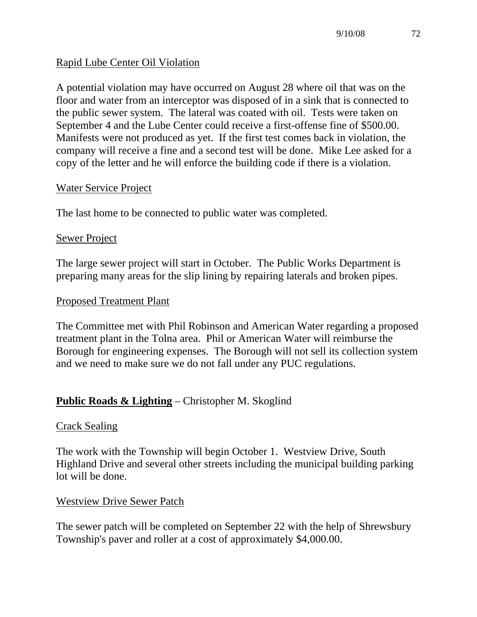## Rapid Lube Center Oil Violation

A potential violation may have occurred on August 28 where oil that was on the floor and water from an interceptor was disposed of in a sink that is connected to the public sewer system. The lateral was coated with oil. Tests were taken on September 4 and the Lube Center could receive a first-offense fine of \$500.00. Manifests were not produced as yet. If the first test comes back in violation, the company will receive a fine and a second test will be done. Mike Lee asked for a copy of the letter and he will enforce the building code if there is a violation.

## Water Service Project

The last home to be connected to public water was completed.

### Sewer Project

The large sewer project will start in October. The Public Works Department is preparing many areas for the slip lining by repairing laterals and broken pipes.

### Proposed Treatment Plant

The Committee met with Phil Robinson and American Water regarding a proposed treatment plant in the Tolna area. Phil or American Water will reimburse the Borough for engineering expenses. The Borough will not sell its collection system and we need to make sure we do not fall under any PUC regulations.

## **Public Roads & Lighting** – Christopher M. Skoglind

### Crack Sealing

The work with the Township will begin October 1. Westview Drive, South Highland Drive and several other streets including the municipal building parking lot will be done.

### Westview Drive Sewer Patch

The sewer patch will be completed on September 22 with the help of Shrewsbury Township's paver and roller at a cost of approximately \$4,000.00.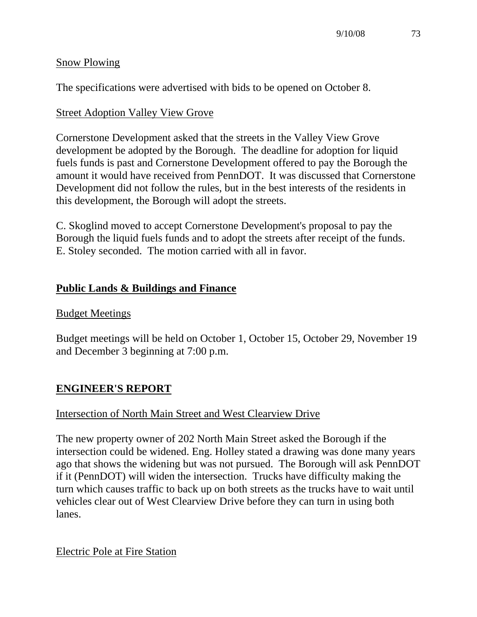#### Snow Plowing

The specifications were advertised with bids to be opened on October 8.

## Street Adoption Valley View Grove

Cornerstone Development asked that the streets in the Valley View Grove development be adopted by the Borough. The deadline for adoption for liquid fuels funds is past and Cornerstone Development offered to pay the Borough the amount it would have received from PennDOT. It was discussed that Cornerstone Development did not follow the rules, but in the best interests of the residents in this development, the Borough will adopt the streets.

C. Skoglind moved to accept Cornerstone Development's proposal to pay the Borough the liquid fuels funds and to adopt the streets after receipt of the funds. E. Stoley seconded. The motion carried with all in favor.

# **Public Lands & Buildings and Finance**

## Budget Meetings

Budget meetings will be held on October 1, October 15, October 29, November 19 and December 3 beginning at 7:00 p.m.

## **ENGINEER'S REPORT**

### Intersection of North Main Street and West Clearview Drive

The new property owner of 202 North Main Street asked the Borough if the intersection could be widened. Eng. Holley stated a drawing was done many years ago that shows the widening but was not pursued. The Borough will ask PennDOT if it (PennDOT) will widen the intersection. Trucks have difficulty making the turn which causes traffic to back up on both streets as the trucks have to wait until vehicles clear out of West Clearview Drive before they can turn in using both lanes.

Electric Pole at Fire Station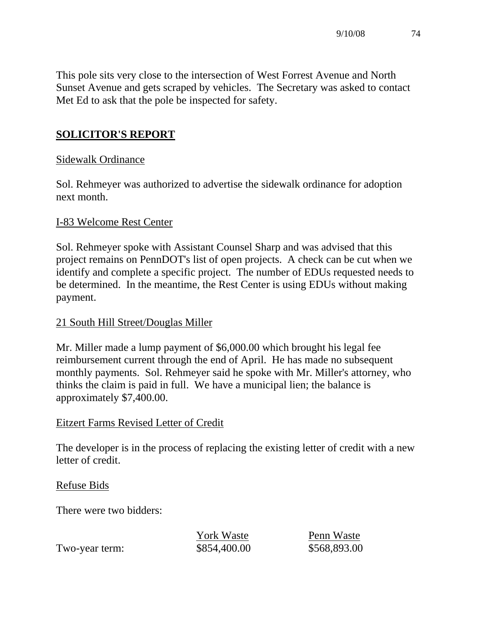This pole sits very close to the intersection of West Forrest Avenue and North Sunset Avenue and gets scraped by vehicles. The Secretary was asked to contact Met Ed to ask that the pole be inspected for safety.

# **SOLICITOR'S REPORT**

## Sidewalk Ordinance

Sol. Rehmeyer was authorized to advertise the sidewalk ordinance for adoption next month.

### I-83 Welcome Rest Center

Sol. Rehmeyer spoke with Assistant Counsel Sharp and was advised that this project remains on PennDOT's list of open projects. A check can be cut when we identify and complete a specific project. The number of EDUs requested needs to be determined. In the meantime, the Rest Center is using EDUs without making payment.

### 21 South Hill Street/Douglas Miller

Mr. Miller made a lump payment of \$6,000.00 which brought his legal fee reimbursement current through the end of April. He has made no subsequent monthly payments. Sol. Rehmeyer said he spoke with Mr. Miller's attorney, who thinks the claim is paid in full. We have a municipal lien; the balance is approximately \$7,400.00.

### Eitzert Farms Revised Letter of Credit

The developer is in the process of replacing the existing letter of credit with a new letter of credit.

### Refuse Bids

There were two bidders:

|                | <b>York Waste</b> | Penn Waste   |
|----------------|-------------------|--------------|
| Two-year term: | \$854,400.00      | \$568,893.00 |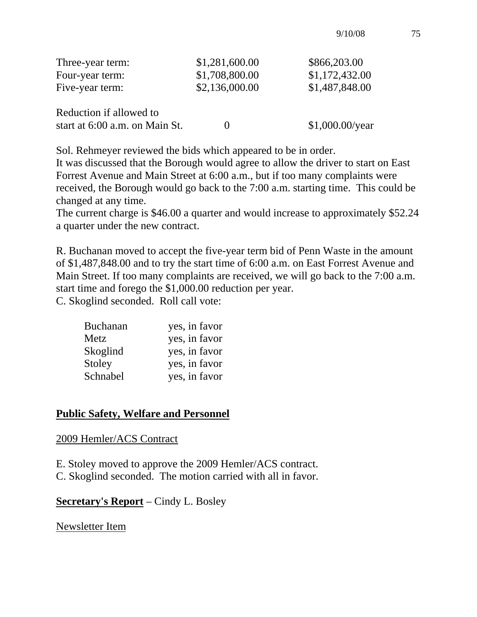| Three-year term:               | \$1,281,600.00 | \$866,203.00      |
|--------------------------------|----------------|-------------------|
| Four-year term:                | \$1,708,800.00 | \$1,172,432.00    |
| Five-year term:                | \$2,136,000.00 | \$1,487,848.00    |
| Reduction if allowed to        |                |                   |
| start at 6:00 a.m. on Main St. |                | $$1,000.00$ /year |

Sol. Rehmeyer reviewed the bids which appeared to be in order.

It was discussed that the Borough would agree to allow the driver to start on East Forrest Avenue and Main Street at 6:00 a.m., but if too many complaints were received, the Borough would go back to the 7:00 a.m. starting time. This could be changed at any time.

The current charge is \$46.00 a quarter and would increase to approximately \$52.24 a quarter under the new contract.

R. Buchanan moved to accept the five-year term bid of Penn Waste in the amount of \$1,487,848.00 and to try the start time of 6:00 a.m. on East Forrest Avenue and Main Street. If too many complaints are received, we will go back to the 7:00 a.m. start time and forego the \$1,000.00 reduction per year. C. Skoglind seconded. Roll call vote:

| <b>Buchanan</b> | yes, in favor |
|-----------------|---------------|
| Metz            | yes, in favor |
| Skoglind        | yes, in favor |
| Stoley          | yes, in favor |
| Schnabel        | yes, in favor |

### **Public Safety, Welfare and Personnel**

#### 2009 Hemler/ACS Contract

- E. Stoley moved to approve the 2009 Hemler/ACS contract.
- C. Skoglind seconded. The motion carried with all in favor.

**Secretary's Report** – Cindy L. Bosley

Newsletter Item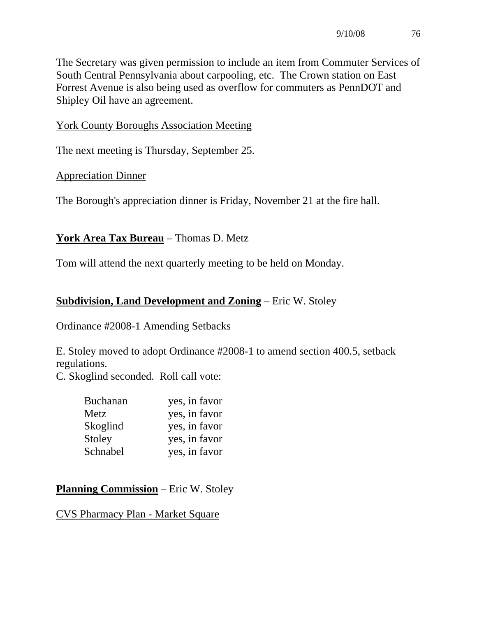The Secretary was given permission to include an item from Commuter Services of South Central Pennsylvania about carpooling, etc. The Crown station on East Forrest Avenue is also being used as overflow for commuters as PennDOT and Shipley Oil have an agreement.

York County Boroughs Association Meeting

The next meeting is Thursday, September 25.

Appreciation Dinner

The Borough's appreciation dinner is Friday, November 21 at the fire hall.

## **York Area Tax Bureau** – Thomas D. Metz

Tom will attend the next quarterly meeting to be held on Monday.

## **Subdivision, Land Development and Zoning** – Eric W. Stoley

### Ordinance #2008-1 Amending Setbacks

E. Stoley moved to adopt Ordinance #2008-1 to amend section 400.5, setback regulations.

C. Skoglind seconded. Roll call vote:

| <b>Buchanan</b> | yes, in favor |
|-----------------|---------------|
| Metz            | yes, in favor |
| Skoglind        | yes, in favor |
| Stoley          | yes, in favor |
| Schnabel        | yes, in favor |
|                 |               |

**Planning Commission** – Eric W. Stoley

CVS Pharmacy Plan - Market Square